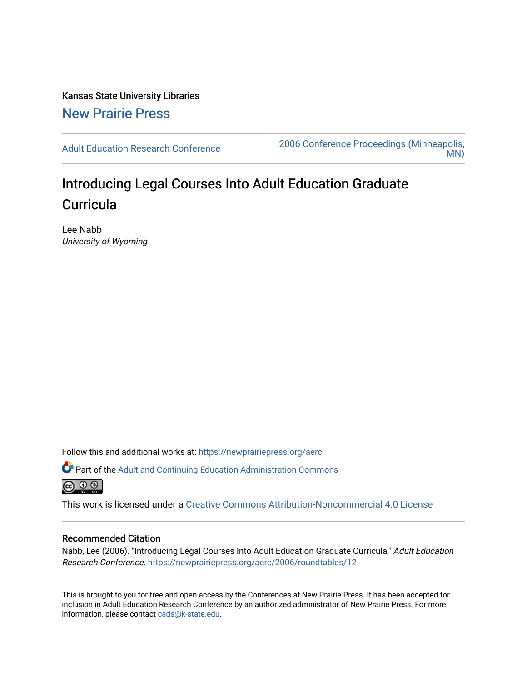Kansas State University Libraries [New Prairie Press](https://newprairiepress.org/) 

[Adult Education Research Conference](https://newprairiepress.org/aerc) [2006 Conference Proceedings \(Minneapolis,](https://newprairiepress.org/aerc/2006)  [MN\)](https://newprairiepress.org/aerc/2006) 

## Introducing Legal Courses Into Adult Education Graduate **Curricula**

Lee Nabb University of Wyoming

Follow this and additional works at: [https://newprairiepress.org/aerc](https://newprairiepress.org/aerc?utm_source=newprairiepress.org%2Faerc%2F2006%2Froundtables%2F12&utm_medium=PDF&utm_campaign=PDFCoverPages)

Part of the [Adult and Continuing Education Administration Commons](http://network.bepress.com/hgg/discipline/789?utm_source=newprairiepress.org%2Faerc%2F2006%2Froundtables%2F12&utm_medium=PDF&utm_campaign=PDFCoverPages) 

This work is licensed under a [Creative Commons Attribution-Noncommercial 4.0 License](https://creativecommons.org/licenses/by-nc/4.0/)

## Recommended Citation

Nabb, Lee (2006). "Introducing Legal Courses Into Adult Education Graduate Curricula," Adult Education Research Conference. <https://newprairiepress.org/aerc/2006/roundtables/12>

This is brought to you for free and open access by the Conferences at New Prairie Press. It has been accepted for inclusion in Adult Education Research Conference by an authorized administrator of New Prairie Press. For more information, please contact [cads@k-state.edu](mailto:cads@k-state.edu).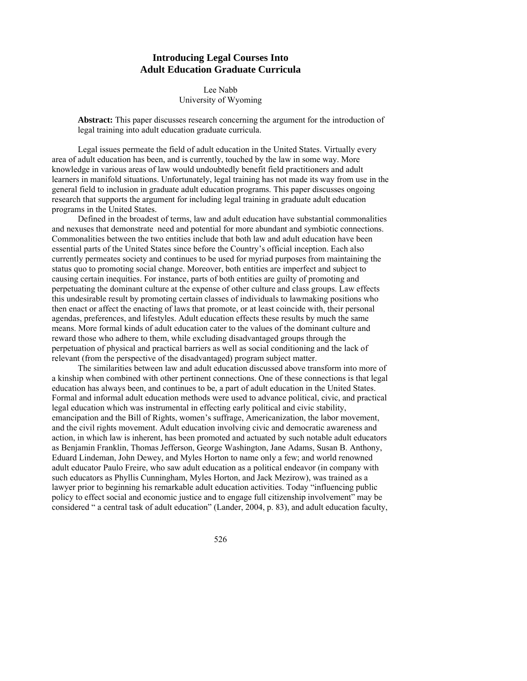## **Introducing Legal Courses Into Adult Education Graduate Curricula**

Lee Nabb University of Wyoming

**Abstract:** This paper discusses research concerning the argument for the introduction of legal training into adult education graduate curricula.

Legal issues permeate the field of adult education in the United States. Virtually every area of adult education has been, and is currently, touched by the law in some way. More knowledge in various areas of law would undoubtedly benefit field practitioners and adult learners in manifold situations. Unfortunately, legal training has not made its way from use in the general field to inclusion in graduate adult education programs. This paper discusses ongoing research that supports the argument for including legal training in graduate adult education programs in the United States.

 Defined in the broadest of terms, law and adult education have substantial commonalities and nexuses that demonstrate need and potential for more abundant and symbiotic connections. Commonalities between the two entities include that both law and adult education have been essential parts of the United States since before the Country's official inception. Each also currently permeates society and continues to be used for myriad purposes from maintaining the status quo to promoting social change. Moreover, both entities are imperfect and subject to causing certain inequities. For instance, parts of both entities are guilty of promoting and perpetuating the dominant culture at the expense of other culture and class groups. Law effects this undesirable result by promoting certain classes of individuals to lawmaking positions who then enact or affect the enacting of laws that promote, or at least coincide with, their personal agendas, preferences, and lifestyles. Adult education effects these results by much the same means. More formal kinds of adult education cater to the values of the dominant culture and reward those who adhere to them, while excluding disadvantaged groups through the perpetuation of physical and practical barriers as well as social conditioning and the lack of relevant (from the perspective of the disadvantaged) program subject matter.

 The similarities between law and adult education discussed above transform into more of a kinship when combined with other pertinent connections. One of these connections is that legal education has always been, and continues to be, a part of adult education in the United States. Formal and informal adult education methods were used to advance political, civic, and practical legal education which was instrumental in effecting early political and civic stability, emancipation and the Bill of Rights, women's suffrage, Americanization, the labor movement, and the civil rights movement. Adult education involving civic and democratic awareness and action, in which law is inherent, has been promoted and actuated by such notable adult educators as Benjamin Franklin, Thomas Jefferson, George Washington, Jane Adams, Susan B. Anthony, Eduard Lindeman, John Dewey, and Myles Horton to name only a few; and world renowned adult educator Paulo Freire, who saw adult education as a political endeavor (in company with such educators as Phyllis Cunningham, Myles Horton, and Jack Mezirow), was trained as a lawyer prior to beginning his remarkable adult education activities. Today "influencing public policy to effect social and economic justice and to engage full citizenship involvement" may be considered " a central task of adult education" (Lander, 2004, p. 83), and adult education faculty,

526